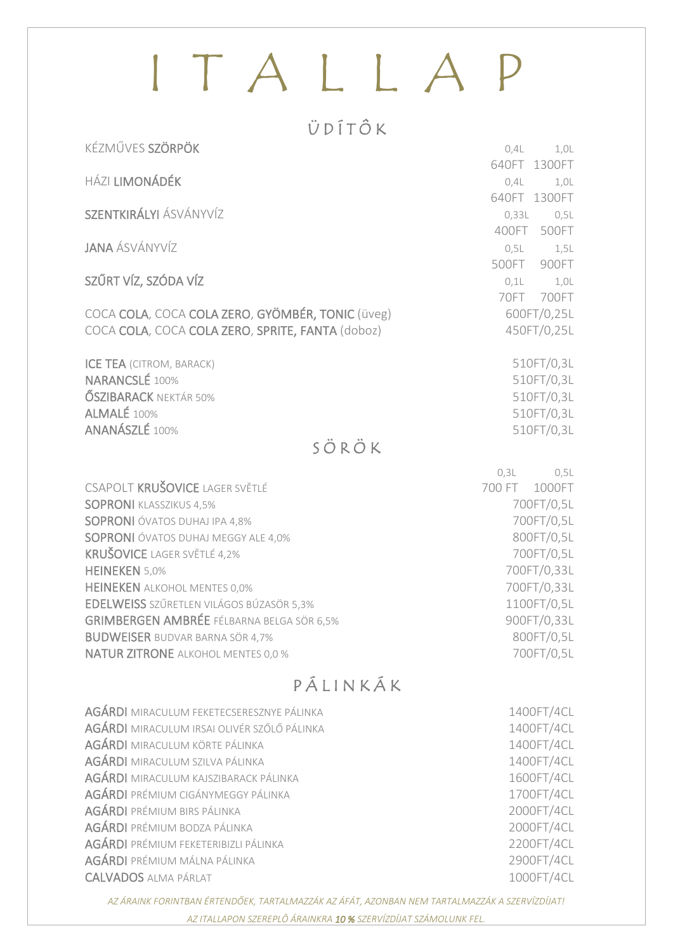# ITALLAP

#### ÜDÍTÔK

| <b>HÁZI LIMONÁDÉK</b><br>0,4L<br>SZENTKIRÁLYI ÁSVÁNYVÍZ<br>0,33L<br>400FT<br><b>JANA ÁSVÁNYVÍZ</b><br>0,5L<br>500FT<br>SZŰRT VÍZ, SZÓDA VÍZ<br>$0,1$ L<br>70FT<br>700FT<br>COCA COLA, COCA COLA ZERO, GYÖMBÉR, TONIC (üveg)<br>600FT/0,25L<br>COCA COLA, COCA COLA ZERO, SPRITE, FANTA (doboz)<br>450FT/0,25L<br><b>ICE TEA (CITROM, BARACK)</b><br>510FT/0,3L<br><b>NARANCSLÉ 100%</b><br>510FT/0,3L<br><b>ŐSZIBARACK NEKTÁR 50%</b><br>510FT/0,3L<br>ALMALÉ 100%<br>510FT/0,3L<br>ANANÁSZLÉ 100%<br>510FT/0,3L<br>SÖRÖK<br>0,3L<br>0,5L<br>CSAPOLT KRUŠOVICE LAGER SVĚTLÉ<br>700 FT<br>1000FT<br>700FT/0,5L<br><b>SOPRONI</b> KLASSZIKUS 4,5%<br><b>SOPRONI</b> ÓVATOS DUHAJ IPA 4,8%<br>700FT/0,5L<br>800FT/0,5L<br><b>SOPRONI</b> ÓVATOS DUHAJ MEGGY ALE 4,0%<br><b>KRUŠOVICE LAGER SVĚTLÉ 4,2%</b><br>700FT/0,5L<br>700FT/0,33L<br><b>HEINEKEN 5,0%</b><br>700FT/0,33L<br><b>HEINEKEN</b> ALKOHOL MENTES 0,0%<br><b>EDELWEISS</b> SZŰRETLEN VILÁGOS BÚZASÖR 5,3%<br>1100FT/0,5L<br><b>GRIMBERGEN AMBRÉE FÉLBARNA BELGA SÖR 6,5%</b><br>900FT/0,33L<br>800FT/0,5L<br><b>BUDWEISER BUDVAR BARNA SÖR 4,7%</b><br>700FT/0,5L<br><b>NATUR ZITRONE ALKOHOL MENTES 0,0 %</b> | KÉZMŰVES SZÖRPÖK | 0,4L<br>1,0L |
|----------------------------------------------------------------------------------------------------------------------------------------------------------------------------------------------------------------------------------------------------------------------------------------------------------------------------------------------------------------------------------------------------------------------------------------------------------------------------------------------------------------------------------------------------------------------------------------------------------------------------------------------------------------------------------------------------------------------------------------------------------------------------------------------------------------------------------------------------------------------------------------------------------------------------------------------------------------------------------------------------------------------------------------------------------------------------------------------------------------------------------------------------------------------------|------------------|--------------|
|                                                                                                                                                                                                                                                                                                                                                                                                                                                                                                                                                                                                                                                                                                                                                                                                                                                                                                                                                                                                                                                                                                                                                                            |                  | 640FT 1300FT |
|                                                                                                                                                                                                                                                                                                                                                                                                                                                                                                                                                                                                                                                                                                                                                                                                                                                                                                                                                                                                                                                                                                                                                                            |                  | 1,0L         |
|                                                                                                                                                                                                                                                                                                                                                                                                                                                                                                                                                                                                                                                                                                                                                                                                                                                                                                                                                                                                                                                                                                                                                                            |                  | 640FT 1300FT |
|                                                                                                                                                                                                                                                                                                                                                                                                                                                                                                                                                                                                                                                                                                                                                                                                                                                                                                                                                                                                                                                                                                                                                                            |                  | 0,5L         |
|                                                                                                                                                                                                                                                                                                                                                                                                                                                                                                                                                                                                                                                                                                                                                                                                                                                                                                                                                                                                                                                                                                                                                                            |                  | 500FT        |
|                                                                                                                                                                                                                                                                                                                                                                                                                                                                                                                                                                                                                                                                                                                                                                                                                                                                                                                                                                                                                                                                                                                                                                            |                  | 1,5L         |
|                                                                                                                                                                                                                                                                                                                                                                                                                                                                                                                                                                                                                                                                                                                                                                                                                                                                                                                                                                                                                                                                                                                                                                            |                  | 900FT        |
|                                                                                                                                                                                                                                                                                                                                                                                                                                                                                                                                                                                                                                                                                                                                                                                                                                                                                                                                                                                                                                                                                                                                                                            |                  | 1,0L         |
|                                                                                                                                                                                                                                                                                                                                                                                                                                                                                                                                                                                                                                                                                                                                                                                                                                                                                                                                                                                                                                                                                                                                                                            |                  |              |
|                                                                                                                                                                                                                                                                                                                                                                                                                                                                                                                                                                                                                                                                                                                                                                                                                                                                                                                                                                                                                                                                                                                                                                            |                  |              |
|                                                                                                                                                                                                                                                                                                                                                                                                                                                                                                                                                                                                                                                                                                                                                                                                                                                                                                                                                                                                                                                                                                                                                                            |                  |              |
|                                                                                                                                                                                                                                                                                                                                                                                                                                                                                                                                                                                                                                                                                                                                                                                                                                                                                                                                                                                                                                                                                                                                                                            |                  |              |
|                                                                                                                                                                                                                                                                                                                                                                                                                                                                                                                                                                                                                                                                                                                                                                                                                                                                                                                                                                                                                                                                                                                                                                            |                  |              |
|                                                                                                                                                                                                                                                                                                                                                                                                                                                                                                                                                                                                                                                                                                                                                                                                                                                                                                                                                                                                                                                                                                                                                                            |                  |              |
|                                                                                                                                                                                                                                                                                                                                                                                                                                                                                                                                                                                                                                                                                                                                                                                                                                                                                                                                                                                                                                                                                                                                                                            |                  |              |
|                                                                                                                                                                                                                                                                                                                                                                                                                                                                                                                                                                                                                                                                                                                                                                                                                                                                                                                                                                                                                                                                                                                                                                            |                  |              |
|                                                                                                                                                                                                                                                                                                                                                                                                                                                                                                                                                                                                                                                                                                                                                                                                                                                                                                                                                                                                                                                                                                                                                                            |                  |              |
|                                                                                                                                                                                                                                                                                                                                                                                                                                                                                                                                                                                                                                                                                                                                                                                                                                                                                                                                                                                                                                                                                                                                                                            |                  |              |
|                                                                                                                                                                                                                                                                                                                                                                                                                                                                                                                                                                                                                                                                                                                                                                                                                                                                                                                                                                                                                                                                                                                                                                            |                  |              |
|                                                                                                                                                                                                                                                                                                                                                                                                                                                                                                                                                                                                                                                                                                                                                                                                                                                                                                                                                                                                                                                                                                                                                                            |                  |              |
|                                                                                                                                                                                                                                                                                                                                                                                                                                                                                                                                                                                                                                                                                                                                                                                                                                                                                                                                                                                                                                                                                                                                                                            |                  |              |
|                                                                                                                                                                                                                                                                                                                                                                                                                                                                                                                                                                                                                                                                                                                                                                                                                                                                                                                                                                                                                                                                                                                                                                            |                  |              |
|                                                                                                                                                                                                                                                                                                                                                                                                                                                                                                                                                                                                                                                                                                                                                                                                                                                                                                                                                                                                                                                                                                                                                                            |                  |              |
|                                                                                                                                                                                                                                                                                                                                                                                                                                                                                                                                                                                                                                                                                                                                                                                                                                                                                                                                                                                                                                                                                                                                                                            |                  |              |
|                                                                                                                                                                                                                                                                                                                                                                                                                                                                                                                                                                                                                                                                                                                                                                                                                                                                                                                                                                                                                                                                                                                                                                            |                  |              |
|                                                                                                                                                                                                                                                                                                                                                                                                                                                                                                                                                                                                                                                                                                                                                                                                                                                                                                                                                                                                                                                                                                                                                                            |                  |              |
|                                                                                                                                                                                                                                                                                                                                                                                                                                                                                                                                                                                                                                                                                                                                                                                                                                                                                                                                                                                                                                                                                                                                                                            |                  |              |
|                                                                                                                                                                                                                                                                                                                                                                                                                                                                                                                                                                                                                                                                                                                                                                                                                                                                                                                                                                                                                                                                                                                                                                            |                  |              |
|                                                                                                                                                                                                                                                                                                                                                                                                                                                                                                                                                                                                                                                                                                                                                                                                                                                                                                                                                                                                                                                                                                                                                                            |                  |              |

### PÁLINKÁK

| <b>AGÁRDI</b> MIRACULUM FEKETECSERESZNYE PÁLINKA | 1400FT/4CL |
|--------------------------------------------------|------------|
| AGÁRDI MIRACULUM IRSAI OLIVÉR SZŐLŐ PÁLINKA      | 1400FT/4CL |
| <b>AGÁRDI</b> MIRACULUM KÖRTE PÁLINKA            | 1400FT/4CL |
| <b>AGÁRDI</b> MIRACULUM SZILVA PÁLINKA           | 1400FT/4CL |
| <b>AGÁRDI</b> MIRACULUM KAJSZIBARACK PÁLINKA     | 1600FT/4CL |
| AGÁRDI PRÉMIUM CIGÁNYMEGGY PÁLINKA               | 1700FT/4CL |
| <b>AGÁRDI</b> PRÉMIUM BIRS PÁLINKA               | 2000FT/4CL |
| <b>AGÁRDI</b> PRÉMIUM BODZA PÁLINKA              | 2000FT/4CL |
| AGÁRDI PRÉMIUM FEKETERIBIZLI PÁLINKA             | 2200FT/4CL |
| <b>AGÁRDI</b> PRÉMIUM MÁLNA PÁLINKA              | 2900FT/4CL |
| <b>CALVADOS ALMA PÁRLAT</b>                      | 1000FT/4CL |
|                                                  |            |

AZ ÁRAINK FORINTBAN ÉRTENDŐEK, TARTALMAZZÁK AZ ÁFÁT, AZONBAN NEM TARTALMAZZÁK A SZERVÍZDÍJAT! AZ ITALLAPON SZEREPLÔ ÁRAINKRA 10 % SZERVÍZDÍJAT SZÁMOLUNK FEL.